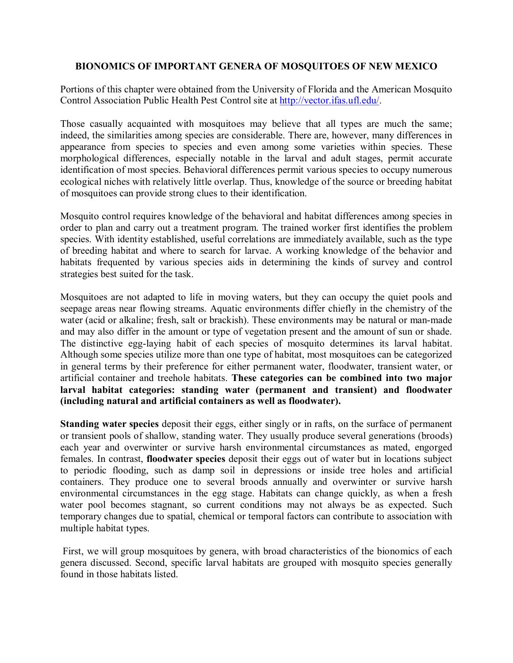### **BIONOMICS OF IMPORTANT GENERA OF MOSQUITOES OF NEW MEXICO**

Portions of this chapter were obtained from the University of Florida and the American Mosquito Control Association Public Health Pest Control site at [http://vector.ifas.ufl.edu/.](http://vector.ifas.ufl.edu/)

Those casually acquainted with mosquitoes may believe that all types are much the same; indeed, the similarities among species are considerable. There are, however, many differences in appearance from species to species and even among some varieties within species. These morphological differences, especially notable in the larval and adult stages, permit accurate identification of most species. Behavioral differences permit various species to occupy numerous ecological niches with relatively little overlap. Thus, knowledge of the source or breeding habitat of mosquitoes can provide strong clues to their identification.

Mosquito control requires knowledge of the behavioral and habitat differences among species in order to plan and carry out a treatment program. The trained worker first identifies the problem species. With identity established, useful correlations are immediately available, such as the type of breeding habitat and where to search for larvae. A working knowledge of the behavior and habitats frequented by various species aids in determining the kinds of survey and control strategies best suited for the task.

Mosquitoes are not adapted to life in moving waters, but they can occupy the quiet pools and seepage areas near flowing streams. Aquatic environments differ chiefly in the chemistry of the water (acid or alkaline; fresh, salt or brackish). These environments may be natural or man-made and may also differ in the amount or type of vegetation present and the amount of sun or shade. The distinctive egg-laying habit of each species of mosquito determines its larval habitat. Although some species utilize more than one type of habitat, most mosquitoes can be categorized in general terms by their preference for either permanent water, floodwater, transient water, or artificial container and treehole habitats. **These categories can be combined into two major larval habitat categories: standing water (permanent and transient) and floodwater (including natural and artificial containers as well as floodwater).**

**Standing water species** deposit their eggs, either singly or in rafts, on the surface of permanent or transient pools of shallow, standing water. They usually produce several generations (broods) each year and overwinter or survive harsh environmental circumstances as mated, engorged females. In contrast, **floodwater species** deposit their eggs out of water but in locations subject to periodic flooding, such as damp soil in depressions or inside tree holes and artificial containers. They produce one to several broods annually and overwinter or survive harsh environmental circumstances in the egg stage. Habitats can change quickly, as when a fresh water pool becomes stagnant, so current conditions may not always be as expected. Such temporary changes due to spatial, chemical or temporal factors can contribute to association with multiple habitat types.

First, we will group mosquitoes by genera, with broad characteristics of the bionomics of each genera discussed. Second, specific larval habitats are grouped with mosquito species generally found in those habitats listed.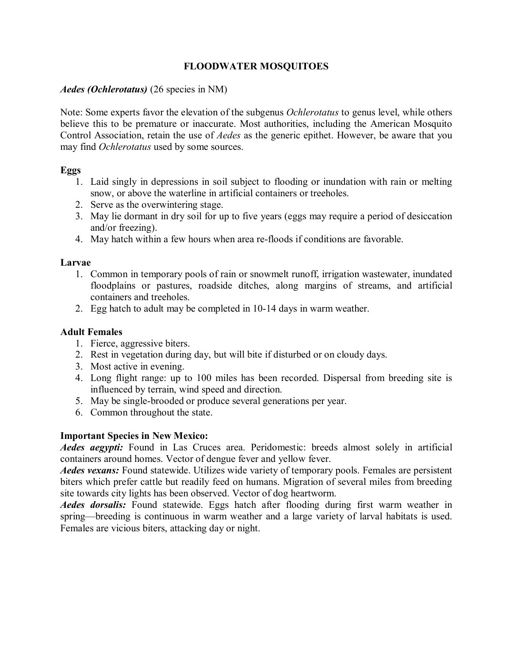## **FLOODWATER MOSQUITOES**

### *Aedes (Ochlerotatus)* (26 species in NM)

Note: Some experts favor the elevation of the subgenus *Ochlerotatus* to genus level, while others believe this to be premature or inaccurate. Most authorities, including the American Mosquito Control Association, retain the use of *Aedes* as the generic epithet. However, be aware that you may find *Ochlerotatus* used by some sources.

#### **Eggs**

- 1. Laid singly in depressions in soil subject to flooding or inundation with rain or melting snow, or above the waterline in artificial containers or treeholes.
- 2. Serve as the overwintering stage.
- 3. May lie dormant in dry soil for up to five years (eggs may require a period of desiccation and/or freezing).
- 4. May hatch within a few hours when area re-floods if conditions are favorable.

### **Larvae**

- 1. Common in temporary pools of rain or snowmelt runoff, irrigation wastewater, inundated floodplains or pastures, roadside ditches, along margins of streams, and artificial containers and treeholes.
- 2. Egg hatch to adult may be completed in 10-14 days in warm weather.

### **Adult Females**

- 1. Fierce, aggressive biters.
- 2. Rest in vegetation during day, but will bite if disturbed or on cloudy days.
- 3. Most active in evening.
- 4. Long flight range: up to 100 miles has been recorded. Dispersal from breeding site is influenced by terrain, wind speed and direction.
- 5. May be single-brooded or produce several generations per year.
- 6. Common throughout the state.

## **Important Species in New Mexico:**

*Aedes aegypti:* Found in Las Cruces area. Peridomestic: breeds almost solely in artificial containers around homes. Vector of dengue fever and yellow fever.

*Aedes vexans:* Found statewide. Utilizes wide variety of temporary pools. Females are persistent biters which prefer cattle but readily feed on humans. Migration of several miles from breeding site towards city lights has been observed. Vector of dog heartworm.

*Aedes dorsalis:* Found statewide. Eggs hatch after flooding during first warm weather in spring—breeding is continuous in warm weather and a large variety of larval habitats is used. Females are vicious biters, attacking day or night.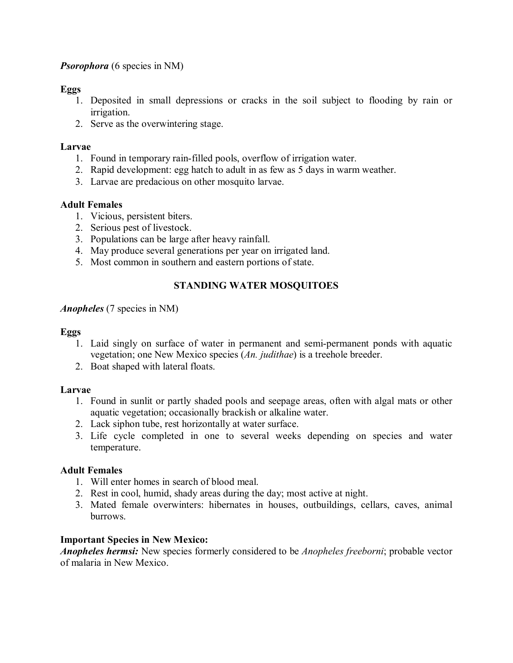## *Psorophora* (6 species in NM)

### **Eggs**

- 1. Deposited in small depressions or cracks in the soil subject to flooding by rain or irrigation.
- 2. Serve as the overwintering stage.

### **Larvae**

- 1. Found in temporary rain-filled pools, overflow of irrigation water.
- 2. Rapid development: egg hatch to adult in as few as 5 days in warm weather.
- 3. Larvae are predacious on other mosquito larvae.

## **Adult Females**

- 1. Vicious, persistent biters.
- 2. Serious pest of livestock.
- 3. Populations can be large after heavy rainfall.
- 4. May produce several generations per year on irrigated land.
- 5. Most common in southern and eastern portions of state.

## **STANDING WATER MOSQUITOES**

### *Anopheles* (7 species in NM)

## **Eggs**

- 1. Laid singly on surface of water in permanent and semipermanent ponds with aquatic vegetation; one New Mexico species (*An. judithae*) is a treehole breeder.
- 2. Boat shaped with lateral floats.

## **Larvae**

- 1. Found in sunlit or partly shaded pools and seepage areas, often with algal mats or other aquatic vegetation; occasionally brackish or alkaline water.
- 2. Lack siphon tube, rest horizontally at water surface.
- 3. Life cycle completed in one to several weeks depending on species and water temperature.

## **Adult Females**

- 1. Will enter homes in search of blood meal.
- 2. Rest in cool, humid, shady areas during the day; most active at night.
- 3. Mated female overwinters: hibernates in houses, outbuildings, cellars, caves, animal burrows.

## **Important Species in New Mexico:**

*Anopheles hermsi:* New species formerly considered to be *Anopheles freeborni*; probable vector of malaria in New Mexico.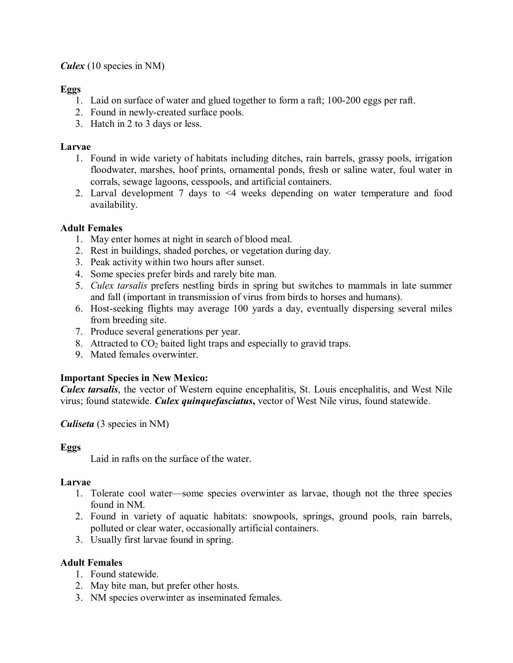*Culex* (10 species in NM)

# **Eggs**

- 1. Laid on surface of water and glued together to form a raft; 100-200 eggs per raft.
- 2. Found in newly-created surface pools.
- 3. Hatch in 2 to 3 days or less.

# **Larvae**

- 1. Found in wide variety of habitats including ditches, rain barrels, grassy pools, irrigation floodwater, marshes, hoof prints, ornamental ponds, fresh or saline water, foul water in corrals, sewage lagoons, cesspools, and artificial containers.
- 2. Larval development 7 days to <4 weeks depending on water temperature and food availability.

# **Adult Females**

- 1. May enter homes at night in search of blood meal.
- 2. Rest in buildings, shaded porches, or vegetation during day.
- 3. Peak activity within two hours after sunset.
- 4. Some species prefer birds and rarely bite man.
- 5. *Culex tarsalis* prefers nestling birds in spring but switches to mammals in late summer and fall (important in transmission of virus from birds to horses and humans).
- 6. Host-seeking flights may average 100 yards a day, eventually dispersing several miles from breeding site.
- 7. Produce several generations per year.
- 8. Attracted to  $CO<sub>2</sub>$  baited light traps and especially to gravid traps.
- 9. Mated females overwinter.

# **Important Species in New Mexico:**

*Culex tarsalis*, the vector of Western equine encephalitis, St. Louis encephalitis, and West Nile virus; found statewide. *Culex quinquefasciatus***,** vector of West Nile virus, found statewide.

# *Culiseta* (3 species in NM)

# **Eggs**

Laid in rafts on the surface of the water.

# **Larvae**

- 1. Tolerate cool water—some species overwinter as larvae, though not the three species found in NM.
- 2. Found in variety of aquatic habitats: snowpools, springs, ground pools, rain barrels, polluted or clear water, occasionally artificial containers.
- 3. Usually first larvae found in spring.

# **Adult Females**

- 1. Found statewide.
- 2. May bite man, but prefer other hosts.
- 3. NM species overwinter as inseminated females.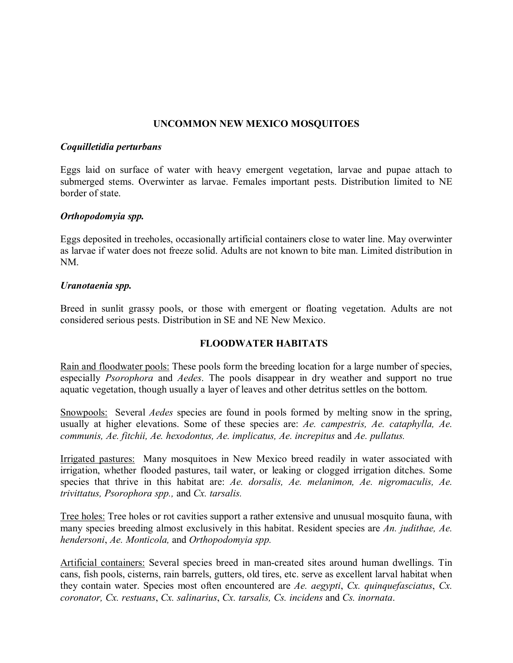## **UNCOMMON NEW MEXICO MOSQUITOES**

#### *Coquilletidia perturbans*

Eggs laid on surface of water with heavy emergent vegetation, larvae and pupae attach to submerged stems. Overwinter as larvae. Females important pests. Distribution limited to NE border of state.

#### *Orthopodomyia spp.*

Eggs deposited in treeholes, occasionally artificial containers close to water line. May overwinter as larvae if water does not freeze solid. Adults are not known to bite man. Limited distribution in NM.

#### *Uranotaenia spp.*

Breed in sunlit grassy pools, or those with emergent or floating vegetation. Adults are not considered serious pests. Distribution in SE and NE New Mexico.

#### **FLOODWATER HABITATS**

Rain and floodwater pools: These pools form the breeding location for a large number of species, especially *Psorophora* and *Aedes*. The pools disappear in dry weather and support no true aquatic vegetation, though usually a layer of leaves and other detritus settles on the bottom.

Snowpools: Several *Aedes* species are found in pools formed by melting snow in the spring, usually at higher elevations. Some of these species are: *Ae. campestris, Ae. cataphylla, Ae. communis, Ae. fitchii, Ae. hexodontus, Ae. implicatus, Ae. increpitus* and *Ae. pullatus.*

Irrigated pastures: Many mosquitoes in New Mexico breed readily in water associated with irrigation, whether flooded pastures, tail water, or leaking or clogged irrigation ditches. Some species that thrive in this habitat are: *Ae. dorsalis, Ae. melanimon, Ae. nigromaculis, Ae. trivittatus, Psorophora spp.,* and *Cx. tarsalis.*

Tree holes: Tree holes or rot cavities support a rather extensive and unusual mosquito fauna, with many species breeding almost exclusively in this habitat. Resident species are *An. judithae, Ae. hendersoni*, *Ae. Monticola,* and *Orthopodomyia spp.*

Artificial containers: Several species breed in man-created sites around human dwellings. Tin cans, fish pools, cisterns, rain barrels, gutters, old tires, etc. serve as excellent larval habitat when they contain water. Species most often encountered are *Ae. aegypti*, *Cx. quinquefasciatus*, *Cx. coronator, Cx. restuans*, *Cx. salinarius*, *Cx. tarsalis, Cs. incidens* and *Cs. inornata*.